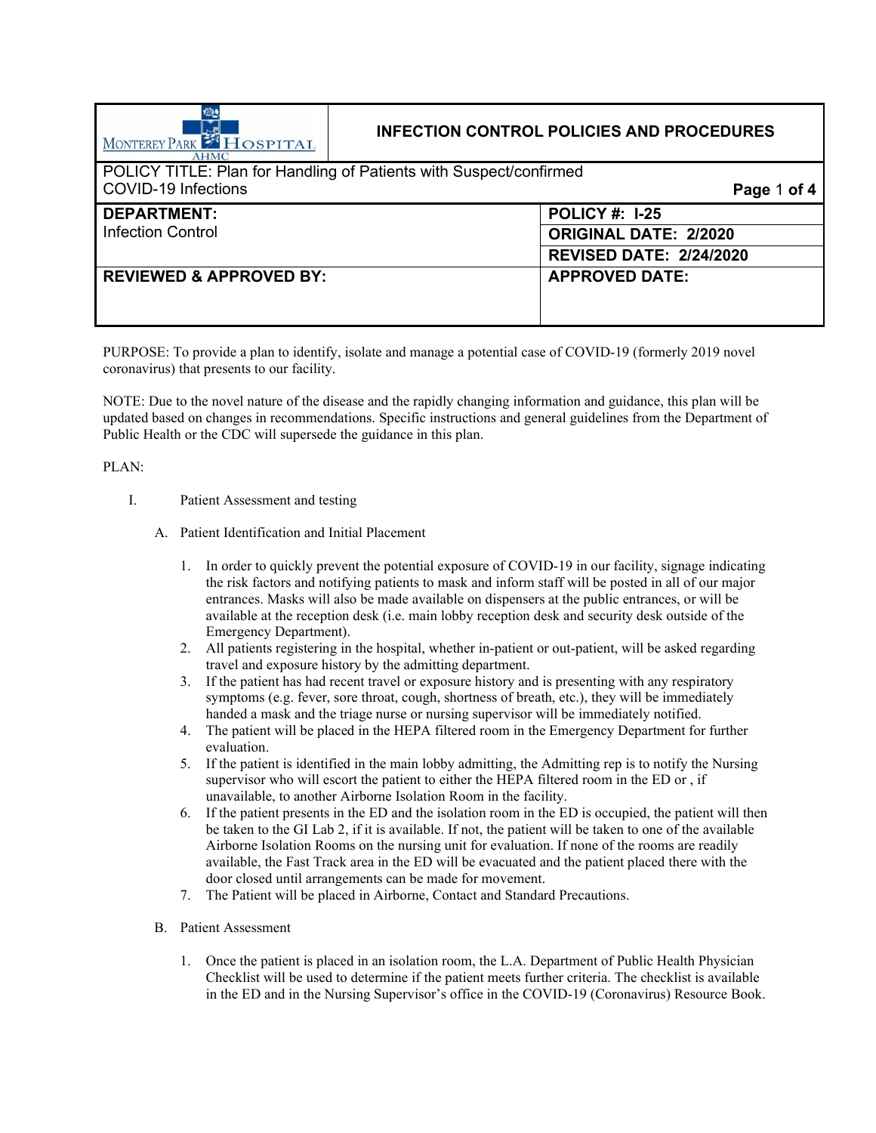| MONTEREY PARK <b>FILOSPITAL</b><br><b>AHMC</b>                     | <b>INFECTION CONTROL POLICIES AND PROCEDURES</b> |                                |
|--------------------------------------------------------------------|--------------------------------------------------|--------------------------------|
| POLICY TITLE: Plan for Handling of Patients with Suspect/confirmed |                                                  |                                |
| COVID-19 Infections                                                | Page 1 of 4                                      |                                |
| <b>DEPARTMENT:</b>                                                 |                                                  | <b>POLICY #: 1-25</b>          |
| <b>Infection Control</b>                                           |                                                  | <b>ORIGINAL DATE: 2/2020</b>   |
|                                                                    |                                                  | <b>REVISED DATE: 2/24/2020</b> |
| <b>REVIEWED &amp; APPROVED BY:</b>                                 |                                                  | <b>APPROVED DATE:</b>          |
|                                                                    |                                                  |                                |

PURPOSE: To provide a plan to identify, isolate and manage a potential case of COVID-19 (formerly 2019 novel coronavirus) that presents to our facility.

NOTE: Due to the novel nature of the disease and the rapidly changing information and guidance, this plan will be updated based on changes in recommendations. Specific instructions and general guidelines from the Department of Public Health or the CDC will supersede the guidance in this plan.

PLAN:

- I. Patient Assessment and testing
	- A. Patient Identification and Initial Placement
		- 1. In order to quickly prevent the potential exposure of COVID-19 in our facility, signage indicating the risk factors and notifying patients to mask and inform staff will be posted in all of our major entrances. Masks will also be made available on dispensers at the public entrances, or will be available at the reception desk (i.e. main lobby reception desk and security desk outside of the Emergency Department).
		- 2. All patients registering in the hospital, whether in-patient or out-patient, will be asked regarding travel and exposure history by the admitting department.
		- 3. If the patient has had recent travel or exposure history and is presenting with any respiratory symptoms (e.g. fever, sore throat, cough, shortness of breath, etc.), they will be immediately handed a mask and the triage nurse or nursing supervisor will be immediately notified.
		- 4. The patient will be placed in the HEPA filtered room in the Emergency Department for further evaluation.
		- 5. If the patient is identified in the main lobby admitting, the Admitting rep is to notify the Nursing supervisor who will escort the patient to either the HEPA filtered room in the ED or , if unavailable, to another Airborne Isolation Room in the facility.
		- 6. If the patient presents in the ED and the isolation room in the ED is occupied, the patient will then be taken to the GI Lab 2, if it is available. If not, the patient will be taken to one of the available Airborne Isolation Rooms on the nursing unit for evaluation. If none of the rooms are readily available, the Fast Track area in the ED will be evacuated and the patient placed there with the door closed until arrangements can be made for movement.
		- 7. The Patient will be placed in Airborne, Contact and Standard Precautions.
	- B. Patient Assessment
		- 1. Once the patient is placed in an isolation room, the L.A. Department of Public Health Physician Checklist will be used to determine if the patient meets further criteria. The checklist is available in the ED and in the Nursing Supervisor's office in the COVID-19 (Coronavirus) Resource Book.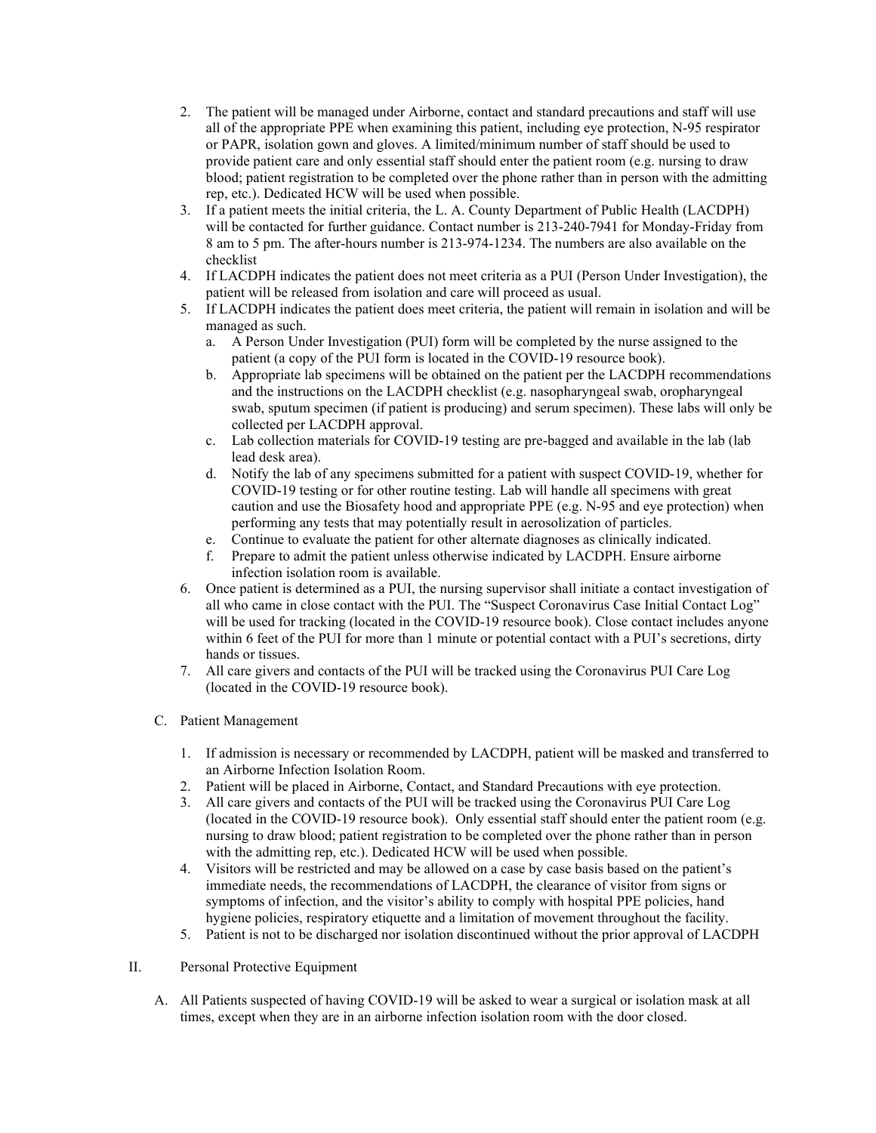- 2. The patient will be managed under Airborne, contact and standard precautions and staff will use all of the appropriate PPE when examining this patient, including eye protection, N-95 respirator or PAPR, isolation gown and gloves. A limited/minimum number of staff should be used to provide patient care and only essential staff should enter the patient room (e.g. nursing to draw blood; patient registration to be completed over the phone rather than in person with the admitting rep, etc.). Dedicated HCW will be used when possible.
- 3. If a patient meets the initial criteria, the L. A. County Department of Public Health (LACDPH) will be contacted for further guidance. Contact number is 213-240-7941 for Monday-Friday from 8 am to 5 pm. The after-hours number is 213-974-1234. The numbers are also available on the checklist
- 4. If LACDPH indicates the patient does not meet criteria as a PUI (Person Under Investigation), the patient will be released from isolation and care will proceed as usual.
- 5. If LACDPH indicates the patient does meet criteria, the patient will remain in isolation and will be managed as such.
	- a. A Person Under Investigation (PUI) form will be completed by the nurse assigned to the patient (a copy of the PUI form is located in the COVID-19 resource book).
	- b. Appropriate lab specimens will be obtained on the patient per the LACDPH recommendations and the instructions on the LACDPH checklist (e.g. nasopharyngeal swab, oropharyngeal swab, sputum specimen (if patient is producing) and serum specimen). These labs will only be collected per LACDPH approval.
	- c. Lab collection materials for COVID-19 testing are pre-bagged and available in the lab (lab lead desk area).
	- d. Notify the lab of any specimens submitted for a patient with suspect COVID-19, whether for COVID-19 testing or for other routine testing. Lab will handle all specimens with great caution and use the Biosafety hood and appropriate PPE (e.g. N-95 and eye protection) when performing any tests that may potentially result in aerosolization of particles.
	- e. Continue to evaluate the patient for other alternate diagnoses as clinically indicated.
	- f. Prepare to admit the patient unless otherwise indicated by LACDPH. Ensure airborne infection isolation room is available.
- 6. Once patient is determined as a PUI, the nursing supervisor shall initiate a contact investigation of all who came in close contact with the PUI. The "Suspect Coronavirus Case Initial Contact Log" will be used for tracking (located in the COVID-19 resource book). Close contact includes anyone within 6 feet of the PUI for more than 1 minute or potential contact with a PUI's secretions, dirty hands or tissues.
- 7. All care givers and contacts of the PUI will be tracked using the Coronavirus PUI Care Log (located in the COVID-19 resource book).
- C. Patient Management
	- 1. If admission is necessary or recommended by LACDPH, patient will be masked and transferred to an Airborne Infection Isolation Room.
	- 2. Patient will be placed in Airborne, Contact, and Standard Precautions with eye protection.
	- 3. All care givers and contacts of the PUI will be tracked using the Coronavirus PUI Care Log (located in the COVID-19 resource book). Only essential staff should enter the patient room (e.g. nursing to draw blood; patient registration to be completed over the phone rather than in person with the admitting rep, etc.). Dedicated HCW will be used when possible.
	- 4. Visitors will be restricted and may be allowed on a case by case basis based on the patient's immediate needs, the recommendations of LACDPH, the clearance of visitor from signs or symptoms of infection, and the visitor's ability to comply with hospital PPE policies, hand hygiene policies, respiratory etiquette and a limitation of movement throughout the facility.
	- 5. Patient is not to be discharged nor isolation discontinued without the prior approval of LACDPH
- II. Personal Protective Equipment
	- A. All Patients suspected of having COVID-19 will be asked to wear a surgical or isolation mask at all times, except when they are in an airborne infection isolation room with the door closed.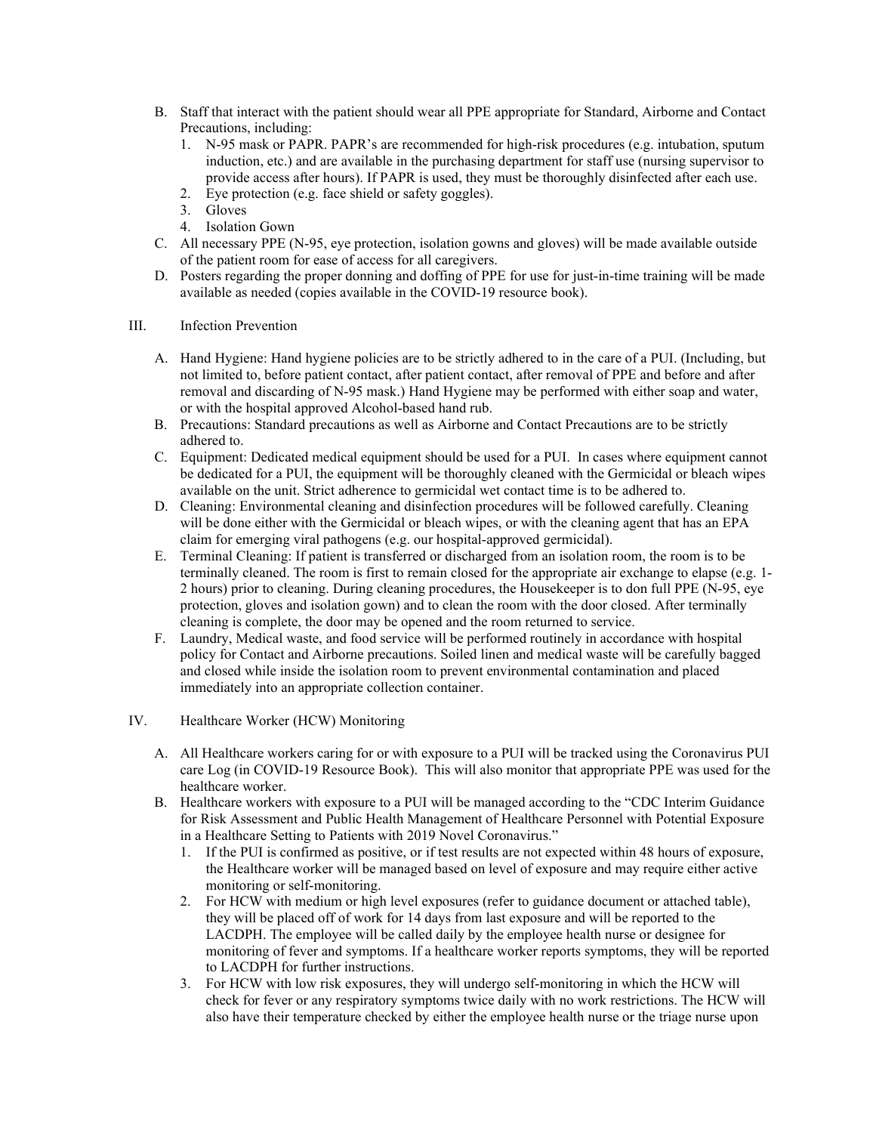- B. Staff that interact with the patient should wear all PPE appropriate for Standard, Airborne and Contact Precautions, including:
	- 1. N-95 mask or PAPR. PAPR's are recommended for high-risk procedures (e.g. intubation, sputum induction, etc.) and are available in the purchasing department for staff use (nursing supervisor to provide access after hours). If PAPR is used, they must be thoroughly disinfected after each use.
	- 2. Eye protection (e.g. face shield or safety goggles).
	- 3. Gloves
	- 4. Isolation Gown
- C. All necessary PPE (N-95, eye protection, isolation gowns and gloves) will be made available outside of the patient room for ease of access for all caregivers.
- D. Posters regarding the proper donning and doffing of PPE for use for just-in-time training will be made available as needed (copies available in the COVID-19 resource book).
- III. Infection Prevention
	- A. Hand Hygiene: Hand hygiene policies are to be strictly adhered to in the care of a PUI. (Including, but not limited to, before patient contact, after patient contact, after removal of PPE and before and after removal and discarding of N-95 mask.) Hand Hygiene may be performed with either soap and water, or with the hospital approved Alcohol-based hand rub.
	- B. Precautions: Standard precautions as well as Airborne and Contact Precautions are to be strictly adhered to.
	- C. Equipment: Dedicated medical equipment should be used for a PUI. In cases where equipment cannot be dedicated for a PUI, the equipment will be thoroughly cleaned with the Germicidal or bleach wipes available on the unit. Strict adherence to germicidal wet contact time is to be adhered to.
	- D. Cleaning: Environmental cleaning and disinfection procedures will be followed carefully. Cleaning will be done either with the Germicidal or bleach wipes, or with the cleaning agent that has an EPA claim for emerging viral pathogens (e.g. our hospital-approved germicidal).
	- E. Terminal Cleaning: If patient is transferred or discharged from an isolation room, the room is to be terminally cleaned. The room is first to remain closed for the appropriate air exchange to elapse (e.g. 1- 2 hours) prior to cleaning. During cleaning procedures, the Housekeeper is to don full PPE (N-95, eye protection, gloves and isolation gown) and to clean the room with the door closed. After terminally cleaning is complete, the door may be opened and the room returned to service.
	- F. Laundry, Medical waste, and food service will be performed routinely in accordance with hospital policy for Contact and Airborne precautions. Soiled linen and medical waste will be carefully bagged and closed while inside the isolation room to prevent environmental contamination and placed immediately into an appropriate collection container.
- IV. Healthcare Worker (HCW) Monitoring
	- A. All Healthcare workers caring for or with exposure to a PUI will be tracked using the Coronavirus PUI care Log (in COVID-19 Resource Book). This will also monitor that appropriate PPE was used for the healthcare worker.
	- B. Healthcare workers with exposure to a PUI will be managed according to the "CDC Interim Guidance for Risk Assessment and Public Health Management of Healthcare Personnel with Potential Exposure in a Healthcare Setting to Patients with 2019 Novel Coronavirus."
		- 1. If the PUI is confirmed as positive, or if test results are not expected within 48 hours of exposure, the Healthcare worker will be managed based on level of exposure and may require either active monitoring or self-monitoring.
		- 2. For HCW with medium or high level exposures (refer to guidance document or attached table), they will be placed off of work for 14 days from last exposure and will be reported to the LACDPH. The employee will be called daily by the employee health nurse or designee for monitoring of fever and symptoms. If a healthcare worker reports symptoms, they will be reported to LACDPH for further instructions.
		- 3. For HCW with low risk exposures, they will undergo self-monitoring in which the HCW will check for fever or any respiratory symptoms twice daily with no work restrictions. The HCW will also have their temperature checked by either the employee health nurse or the triage nurse upon